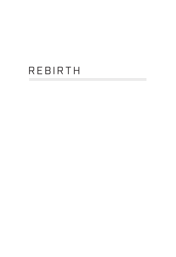## REBIRTH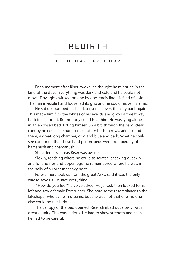## REBIRTH

## CHLOE BEAR & GREG BEAR

For a moment after Riser awoke, he thought he might be in the land of the dead. Everything was dark and cold and he could not move. Tiny lights winked on one by one, encircling his field of vision. Then an invisible hand loosened its grip and he could move his arms.

He sat up, bumped his head, tensed all over, then lay back again. This made him flick the whites of his eyelids and growl a threat way back in his throat. But nobody could hear him. He was lying alone in an enclosed bed. Lifting himself up a bit, through the hard, clear canopy he could see hundreds of other beds in rows, and around them, a great long chamber, cold and blue and dark. What he could see confirmed that these hard prison-beds were occupied by other hamanush and chamanush.

Still asleep, whereas Riser was awake.

Slowly, reaching where he could to scratch, checking out skin and fur and ribs and upper legs, he remembered where he was: in the belly of a Forerunner sky boat.

Forerunners took us from the great Ark... said it was the only way to save us. To save everything.

 "How do you feel?" a voice asked. He jerked, then looked to his left and saw a female Forerunner. She bore some resemblance to the Lifeshaper who came in dreams, but she was not that one; no one else could be the Lady.

The canopy of the bed opened. Riser climbed out slowly, with great dignity. This was serious. He had to show strength and calm; he had to be careful.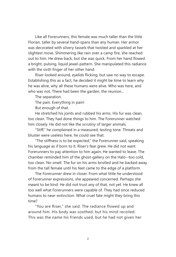Like all Forerunners, this female was much taller than the little Florian, taller by several hand-spans than any human. Her armor was decorated with silvery tassels that twisted and sparkled at her slightest move. Shimmering like rain over a camp fire, she reached out to him. He drew back, but she was quick. From her hand flowed a bright, pulsing, liquid jewel-pattern. She manipulated this radiance with the sixth finger of her other hand.

Riser looked around, eyelids flicking, but saw no way to escape. Establishing this as a fact, he decided it might be time to learn why he was alive, why all these humans were alive. Who was here, and who was not. There had been the garden, the reunion...

The separation.

The pain. Everything in pain!

But enough of that.

He stretched his joints and rubbed his arms. His fur was clean, too clean. They had done things to him. The Forerunner watched him closely. He did not like the scrutiny of larger animals.

"Stiff," he complained in a measured, testing tone. Threats and bluster were useless here, he could see that.

"The stiffness is to be expected," the Forerunner said, speaking his language as if born to it. Riser's fear grew. He did not want Forerunners to pay attention to him again. He wanted to leave. The chamber reminded him of the ghost-gallery on the Halo--too cold, too clean. No smell. The fur on his arms bristled and he backed away from the tall female until his feet came to the edge of a platform.

The Forerunner drew in closer. From what little he understood of Forerunner expressions, she appeared concerned. Perhaps she meant to be kind. He did not trust any of that, not yet. He knew all too well what Forerunners were capable of. They had once reduced humans to near-extinction. What cruel fate might they bring this time?

"You are Riser," she said. The radiance flowed up and around him. His body was soothed, but his mind recoiled. This was the name his friends used, but he had not given her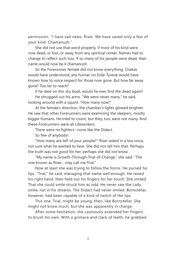permission. "I have sad news, Riser. We have saved only a few of your kind. Chamanush."

She did not use that word properly, if most of his kind were now dead, or lost, or away from any spiritual center. Names had to change to reflect such loss. If so many of his people were dead, their name would now be k'chamanush.

So the Forerunner female did not know everything. Chakas would have understood; any human on Erde-Tyrene would have known how to voice respect for those now gone. But how far away gone? Too far to reach?

If he died on this sky boat, would he ever find the dead again? He shrugged out his arms. "We were never many," he said, looking around with a squint. "How many now?"

At the female's direction, the chamber's lights glowed brighter. He saw that other Forerunners were examining the sleepers, mostly bigger humans. He tried to count, but they, too, were not many. And these Forerunners were all Lifeworkers.

There were no fighters--none like the Didact.

So few of anybody!

"How many are left of your people?" Riser asked in a low voice, not sure what he wanted to hear. She did not tell him that. Perhaps the truth was not good for her, perhaps she did not know.

"My name is Growth-Through-Trial-of-Change," she said. "The one known as Riser... may call me Trial."

Now at least she was trying to follow the forms. He pursed his lips. "Trial," he said, managing that name well enough. He raised his right hand, then held out his fingers for her touch. She smiled. That she could smile struck him as odd. He never saw the Lady smile, not in his dreams. The Didact had never smiled. Bornstellar, however, had been capable of a kind of twitch of the lips.

This one, Trial, might be young, then, like Bornstellar. She might not know much, but she was apparently in charge.

After some hesitation, she cautiously extended her fingers to brush his own. With a grimace and clack of teeth, he grabbed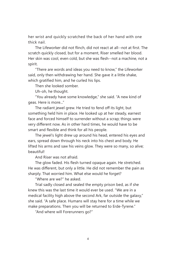her wrist and quickly scratched the back of her hand with one thick nail.

The Lifeworker did not flinch, did not react at all--not at first. The scratch quickly closed, but for a moment, Riser smelled her blood. Her skin was cool, even cold, but she was flesh--not a machine, not a spirit.

"There are words and ideas you need to know," the Lifeworker said, only then withdrawing her hand. She gave it a little shake, which gratified him, and he curled his lips.

Then she looked somber.

Uh-oh, he thought.

"You already have some knowledge," she said. "A new kind of geas. Here is more..."

The radiant jewel grew. He tried to fend off its light, but something held him in place. He looked up at her steady, earnest face and forced himself to surrender without a scrap; things were very different now. As in other hard times, he would have to be smart and flexible and think for all his people.

The jewel's light drew up around his head, entered his eyes and ears, spread down through his neck into his chest and body. He lifted his arms and saw his veins glow. They were so many, so alive; beautiful!

And Riser was not afraid.

The glow faded. His flesh turned opaque again. He stretched. He was different, but only a little. He did not remember the pain as sharply. That worried him. What else would he forget?

"Where are we?" he asked.

Trial sadly closed and sealed the empty prison bed, as if she knew this was the last time it would ever be used. "We are in a medical facility high above the second Ark, far outside the galaxy," she said. "A safe place. Humans will stay here for a time while we make preparations. Then you will be returned to Erde-Tyrene."

"And where will Forerunners go?"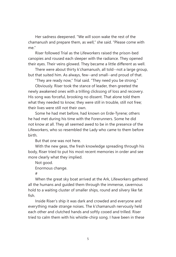Her sadness deepened. "We will soon wake the rest of the chamanush and prepare them, as well," she said. "Please come with me."

Riser followed Trial as the Lifeworkers raised the prison-bed canopies and roused each sleeper with the radiance. They opened their eyes. Their veins glowed. They became a little different as well.

There were about thirty k'chamanush, all told--not a large group, but that suited him. As always, few--and small--and proud of that.

"They are ready now," Trial said. "They need you be strong."

Obviously. Riser took the stance of leader, then greeted the newly awakened ones with a trilling clicksong of loss and recovery. His song was forceful, brooking no dissent. That alone told them what they needed to know; they were still in trouble, still not free; their lives were still not their own.

Some he had met before, had known on Erde-Tyrene; others he had met during his time with the Forerunners. Some he did not know at all. They all seemed awed to be in the presence of the Lifeworkers, who so resembled the Lady who came to them before birth.

But that one was not here.

With the new geas, the fresh knowledge spreading through his body, Riser tried to put his most recent memories in order and see more clearly what they implied.

Not good.

Enormous change.

#

When the great sky boat arrived at the Ark, Lifeworkers gathered all the humans and guided them through the immense, cavernous hold to a waiting cluster of smaller ships, round and silvery like fat fish.

Inside Riser's ship it was dark and crowded and everyone and everything made strange noises. The k'chamanush nervously held each other and clutched hands and softly cooed and trilled. Riser tried to calm them with his whistle-chirp song. I have been in these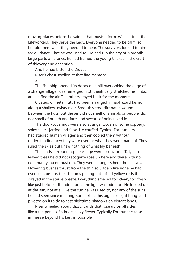moving-places before, he said in that musical form. We can trust the Lifeworkers. They serve the Lady. Everyone needed to be calm, so he told them what they needed to hear. The survivors looked to him for guidance. That he was used to. He had run the city of Marontik, large parts of it, once; he had trained the young Chakas in the craft of thievery and deception.

And he had bitten the Didact! Riser's chest swelled at that fine memory. #

The fish-ship opened its doors on a hill overlooking the edge of a strange village. Riser emerged first, theatrically stretched his limbs, and sniffed the air. The others stayed back for the moment.

Clusters of metal huts had been arranged in haphazard fashion along a shallow, twisty river. Smoothly trod dirt paths wound between the huts, but the air did not smell of animals or people, did not smell of breath and farts and sweat--of being lived in.

The door-coverings were also strange, woven of some coppery, shiny fiber--jarring and false. He chuffed. Typical. Forerunners had studied human villages and then copied them without understanding how they were used or what they were made of. They ruled the skies but knew nothing of what lay beneath.

The lands surrounding the village were also wrong. Tall, thinleaved trees he did not recognize rose up here and there with no community, no enthusiasm. They were strangers here themselves. Flowering bushes thrust from the thin soil, again like none he had ever seen before, their blooms poking out tufted yellow rods that swayed in the sterile breeze. Everything smelled too clean, too fresh, like just before a thunderstorm. The light was odd, too. He looked up at the sun, not at all like the sun he was used to, nor any of the suns he had seen since meeting Bornstellar. This big false light hung and pivoted on its side to cast nighttime-shadows on distant lands...

Riser wheeled about, dizzy. Lands that rose up on all sides, like a the petals of a huge, spiky flower. Typically Forerunner: false, immense beyond his ken, impossible.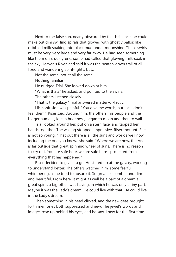Next to the false sun, nearly obscured by that brilliance, he could make out dim swirling spirals that glowed with ghostly pallor, like dribbled milk soaking into black mud under moonshine. These swirls must be very, very large and very far away. He had seen something like them on Erde-Tyrene: some had called that glowing milk-soak in the sky Heaven's River, and said it was the beaten-down trail of all fixed and wandering spirit-lights, but...

Not the same, not at all the same.

Nothing familiar!

He nudged Trial. She looked down at him.

"What is that?" he asked, and pointed to the swirls.

The others listened closely.

"That is the galaxy," Trial answered matter-of-factly.

His confusion was painful. "You give me words, but I still don't feel them," Riser said. Around him, the others, his people and the bigger humans, lost in hugeness, began to moan and then to wail.

Trial looked around her, put on a stern face, and tapped her hands together. The wailing stopped. Impressive, Riser thought. She is not so young. "That out there is all the suns and worlds we know, including the one you knew," she said. "Where we are now, the Ark, is far outside that great spinning wheel of suns. There is no reason to cry out. You are safe here, we are safe here--protected from everything that has happened."

Riser decided to give it a go. He stared up at the galaxy, working to understand better. The others watched him, some fearful, whimpering, as he tried to absorb it. So great, so somber and dim and beautiful. From here, it might as well be a part of a dream a great spirit, a big other, was having, in which he was only a tiny part. Maybe it was the Lady's dream. He could live with that. He could live in the Lady's dream.

Then something in his head clicked, and the new geas brought forth memories both suppressed and new. The jewel's words and images rose up behind his eyes, and he saw, knew for the first time--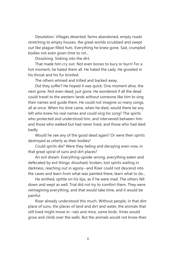Desolation. Villages deserted, farms abandoned, empty roads stretching to empty houses, the great worlds scrubbed and swept out like plague-filled huts. Everything he knew gone. Sad, crumpled bodies not even given time to rot...

Dissolving. Sinking into the dirt.

That made him cry out. Not even bones to bury or burn! For a hot moment, he hated them all. He hated the Lady. He growled in his throat and his fur bristled.

The others whined and trilled and backed away.

Did they suffer? He hoped it was quick. One moment alive, the next gone. Not even dead, just gone. He wondered if all the dead could travel to the western lands without someone like him to sing their names and guide them. He could not imagine so many songs, all at once. When his time came, when he died, would there be any left who knew his real names and could sing his song? The spirits who protected and understood him, and intervened between him and those who walked but had never lived, and those who had died badly.

Would he see any of the good dead again? Or were their spirits destroyed as utterly as their bodies?

Could spirits die? Were they fading and decaying even now, in that great spiral of suns and dirt places?

An evil dream. Everything upside-wrong, everything eaten and defecated by evil things; dissolved, broken, lost spirits wailing in darkness, reaching out in agony--and Riser could not descend into the caves and learn from what was painted there, learn what to do...

He writhed, spittle on his lips, as if he were mad. The others fell down and wept as well. Trial did not try to comfort them. They were reimagining everything, and that would take time, and it would be painful.

Riser already understood this much. Without people, in that dim place of suns, the places of land and dirt and water, the animals that still lived might move in--rats and mice, some birds. Vines would grow and climb over the walls. But the animals would not know their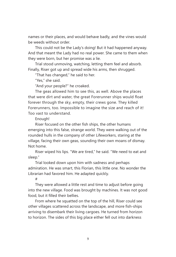names or their places, and would behave badly, and the vines would be weeds without order.

This could not be the Lady's doing! But it had happened anyway. And that meant the Lady had no real power. She came to them when they were born, but her promise was a lie.

Trial stood unmoving, watching, letting them feel and absorb. Finally, Riser got up and spread wide his arms, then shrugged.

"That has changed," he said to her.

"Yes," she said.

"And your people?" he croaked.

The geas allowed him to see this, as well. Above the places that were dirt and water, the great Forerunner ships would float forever through the sky, empty, their crews gone. They killed Forerunners, too. Impossible to imagine the size and reach of it! Too vast to understand.

Enough!

Riser focused on the other fish ships, the other humans emerging into this false, strange world. They were walking out of the rounded hulls in the company of other Lifeworkers, staring at the village, facing their own geas, sounding their own moans of dismay. Not home.

Riser wiped his lips. "We are tired," he said. "We need to eat and sleep."

Trial looked down upon him with sadness and perhaps admiration. He was smart, this Florian, this little one. No wonder the Librarian had favored him. He adapted quickly.

#

They were allowed a little rest and time to adjust before going into the new village. Food was brought by machines. It was not good food, but it filled their bellies.

From where he squatted on the top of the hill, Riser could see other villages scattered across the landscape, and more fish-ships arriving to disembark their living cargoes. He turned from horizon to horizon. The sides of this big place either fell out into darkness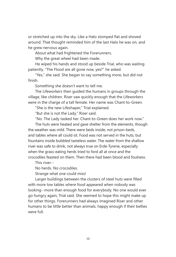or stretched up into the sky. Like a Halo stomped flat and shoved around. That thought reminded him of the last Halo he was on, and he grew nervous again.

About what had frightened the Forerunners.

Why the great wheel had been made.

He wiped his hands and stood up beside Trial, who was waiting patiently. "The Flood are all gone now, yes?" he asked.

"Yes," she said. She began to say something more, but did not finish.

Something she doesn't want to tell me.

The Lifeworkers then guided the humans in groups through the village, like children. Riser saw quickly enough that the Lifeworkers were in the charge of a tall female. Her name was Chant-to-Green.

"She is the new Lifeshaper," Trial explained.

"But she is not the Lady," Riser said.

"No. The Lady tasked her. Chant-to-Green does her work now."

The huts were heated and gave shelter from the elements, though the weather was mild. There were beds inside, not prison-beds, and tables where all could sit. Food was not served in the huts, but fountains inside bubbled tasteless water. The water from the shallow river was safe to drink, not always true on Erde-Tyrene, especially when the grass-eating herds tried to ford all at once and the crocodiles feasted on them. Then there had been blood and foulness.

This river--

No herds. No crocodiles.

Strange what one could miss!

Larger buildings between the clusters of steel huts were filled with more low tables where food appeared when nobody was looking--more than enough food for everybody. No one would ever go hungry again, Trial said. She seemed to hope this might make up for other things. Forerunners had always imagined Riser and other humans to be little better than animals, happy enough if their bellies were full.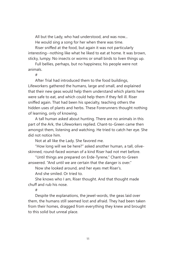All but the Lady, who had understood, and was now...

He would sing a song for her when there was time.

Riser sniffed at the food, but again it was not particularly interesting--nothing like what he liked to eat at home. It was brown, sticky, lumpy. No insects or worms or small birds to liven things up.

Full bellies, perhaps, but no happiness; his people were not animals.

#

After Trial had introduced them to the food buildings, Lifeworkers gathered the humans, large and small, and explained that their new geas would help them understand which plants here were safe to eat, and which could help them if they fell ill. Riser sniffed again. That had been his specialty, teaching others the hidden uses of plants and herbs. These Forerunners thought nothing of learning, only of knowing.

A tall human asked about hunting. There are no animals in this part of the Ark, the Lifeworkers replied. Chant-to-Green came then amongst them, listening and watching. He tried to catch her eye. She did not notice him.

Not at all like the Lady. She favored me.

"How long will we be here?" asked another human, a tall, oliveskinned, round-faced woman of a kind Riser had not met before.

"Until things are prepared on Erde-Tyrene," Chant-to-Green answered. "And until we are certain that the danger is over."

Now she looked around, and her eyes met Riser's.

And she smiled. Or tried to.

She knows who I am, Riser thought. And that thought made chuff and rub his nose.

#

Despite the explanations, the jewel-words, the geas laid over them, the humans still seemed lost and afraid. They had been taken from their homes, dragged from everything they knew and brought to this solid but unreal place.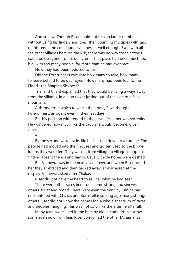And so few! Though Riser could not reckon larger numbers without using his fingers and toes, then counting multiples with taps on his teeth--he could judge vastnesses well enough. Even with all the other villages here on the Ark, there was no way these crowds could be everyone from Erde-Tyrene. That place had been much too big, with too many people, far more than he had ever met.

Now they had been reduced to this.

Did the Forerunners calculate how many to take, how many to leave behind to be destroyed? How many had been lost to the Flood--the Shaping Sickness?

Trial and Chant explained that they would be living a ways away from the villages, in a high tower jutting out of the side of a false mountain.

A throne from which to watch their pets, Riser thought. Forerunners, arrogant even in their last days.

But his position with regard to the new Lifeshaper was softening. He wondered how much like the Lady she would become, given time.

## #

By the second wake cycle, life had settled down to a routine. The people had moved into their houses and gotten used to the brown lumps they were fed. They walked from village to village in hopes of finding absent friends and family. Usually those hopes were dashed.

But Vinnevra was in the next village over, and when Riser found her they embraced and then backed away, embarrassed at the display. Vinnevra asked after Chakas.

Riser did not have the heart to tell her what he had seen.

There were other races here too--some strong and sinewy, others squat and broad. There were even the San'Shyuum he had encountered with Chakas and Bornstellar so long ago, many strange others Riser did not know the names for. A whole spectrum of races and peoples mingling. This was not so unlike the afterlife after all.

Many tears were shed in the huts by night, some from sorrow, some even now from fear. Riser comforted the other k'chamanush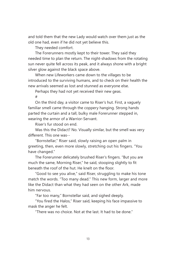and told them that the new Lady would watch over them just as the old one had, even if he did not yet believe this.

They needed comfort.

The Forerunners mostly kept to their tower. They said they needed time to plan the return. The night-shadows from the rotating sun never quite fell across its peak, and it always shone with a bright silver glow against the black space above.

When new Lifeworkers came down to the villages to be introduced to the surviving humans, and to check on their health the new arrivals seemed as lost and stunned as everyone else.

Perhaps they had not yet received their new geas.

#

On the third day, a visitor came to Riser's hut. First, a vaguely familiar smell came through the coppery hanging. Strong hands parted the curtain and a tall, bulky male Forerunner stepped in, wearing the armor of a Warrior-Servant.

Riser's fur stood on end.

Was this the Didact? No. Visually similar, but the smell was very different. This one was--

"Bornstellar," Riser said, slowly raising an open palm in greeting, then, even more slowly, stretching out his fingers. "You have changed."

The Forerunner delicately brushed Riser's fingers. "But you are much the same, Morning Riser," he said, stooping slightly to fit beneath the roof of the hut. He knelt on the floor.

"Good to see you alive," said Riser, struggling to make his tone match the words. "Too many dead." This new form, larger and more like the Didact than what they had seen on the other Ark, made him nervous.

"Far too many," Bornstellar said, and sighed deeply.

"You fired the Halos," Riser said, keeping his face impassive to mask the anger he felt.

"There was no choice. Not at the last. It had to be done."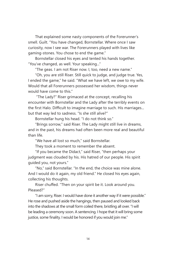That explained some nasty components of the Forerunner's smell. Guilt. "You have changed, Bornstellar. Where once I saw curiosity, now I see war. The Forerunners played with lives like gaming-stones. You chose to end the game."

Bornstellar closed his eyes and tented his hands together. "You've changed, as well. Your speaking..."

"The geas. I am not Riser now. I, too, need a new name."

"Oh, you are still Riser. Still quick to judge, and judge true. Yes, I ended the game," he said. "What we have left, we owe to my wife. Would that all Forerunners possessed her wisdom, things never would have come to this."

 "The Lady?" Riser grimaced at the concept, recalling his encounter with Bornstellar and the Lady after the terribly events on the first Halo. Difficult to imagine marriage to such. His marriages... but that way led to sadness. "Is she still alive?"

Bornstellar hung his head. "I do not think so."

"Brings sorrow," said Riser. The Lady might still live in dreams, and in the past, his dreams had often been more real and beautiful than life.

"We have all lost so much," said Bornstellar.

They took a moment to remember the absent.

"If you became the Didact," said Riser, "then perhaps your judgment was clouded by his. His hatred of our people. His spirit guided you, not yours."

"No," said Bornstellar. "In the end, the choice was mine alone. And I would do it again, my old friend." He closed his eyes again, collecting his thoughts.

Riser chuffed. "Then on your spirit be it. Look around you. Pleased?"

"I am sorry, Riser. I would have done it another way if it were possible." He rose and pushed aside the hangings, then paused and looked back into the shadows at the small form coiled there, bristling all over. "I will be leading a ceremony soon. A sentencing. I hope that it will bring some justice, some finality. I would be honored if you would join me."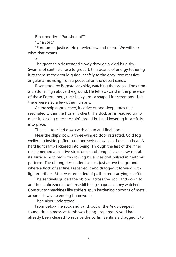Riser nodded. "Punishment?"

"Of a sort"

"Forerunner justice." He growled low and deep. "We will see what that means."

#

The great ship descended slowly through a vivid blue sky. Swarms of sentinels rose to greet it, thin beams of energy tethering it to them so they could guide it safely to the dock, two massive, angular arms rising from a pedestal on the desert sands.

Riser stood by Bornstellar's side, watching the proceedings from a platform high above the ground. He felt awkward in the presence of these Forerunners, their bulky armor shaped for ceremony--but there were also a few other humans.

As the ship approached, its drive pulsed deep notes that resonated within the Florian's chest. The dock arms reached up to meet it, locking onto the ship's broad hull and lowering it carefully into place.

The ship touched down with a loud and final boom.

Near the ship's bow, a three-winged door retracted. Cold fog welled up inside, puffed out, then swirled away in the rising heat. A hard light ramp flickered into being. Through the last of the inner mist emerged a massive structure: an oblong of silver-gray metal, its surface inscribed with glowing blue lines that pulsed in rhythmic patterns. The oblong descended to float just above the ground, where a flock of sentinels received it and dragged it forward with lighter tethers. Riser was reminded of pallbearers carrying a coffin.

The sentinels guided the oblong across the dock and down to another, unfinished structure, still being shaped as they watched. Constructor machines like spiders spun hardening cocoons of metal around slowly ascending frameworks.

Then Riser understood.

From below the rock and sand, out of the Ark's deepest foundation, a massive tomb was being prepared. A void had already been cleared to receive the coffin. Sentinels dragged it to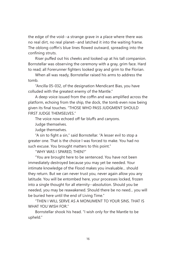the edge of the void--a strange grave in a place where there was no real dirt, no real planet--and latched it into the waiting frame. The oblong coffin's blue lines flowed outward, spreading into the confining struts.

Riser puffed out his cheeks and looked up at his tall companion. Bornstellar was observing the ceremony with a gray, grim face. Hard to read; all Forerunner fighters looked gray and grim to the Florian.

When all was ready, Bornstellar raised his arms to address the tomb.

"Ancilla 05-032, of the designation Mendicant Bias, you have colluded with the greatest enemy of the Mantle."

A deep voice issued from the coffin and was amplified across the platform, echoing from the ship, the dock, the tomb even now being given its final touches. "THOSE WHO PASS JUDGMENT SHOULD FIRST JUDGE THEMSELVES."

The voice now echoed off far bluffs and canyons.

Judge themselves.

Judge themselves.

"A sin to fight a sin," said Bornstellar. "A lesser evil to stop a greater one. That is the choice I was forced to make. You had no such excuse. You brought matters to this point."

"WHY WAS I SPARED, THEN?"

"You are brought here to be sentenced. You have not been immediately destroyed because you may yet be needed. Your intimate knowledge of the Flood makes you invaluable... should they return. But we can never trust you, never again allow you any latitude. You will be entombed here, your processes locked, frozen into a single thought for all eternity--absolution. Should you be needed, you may be reawakened. Should there be no need... you will be buried here until the end of Living Time."

"THEN I WILL SERVE AS A MONUMENT TO YOUR SINS. THAT IS WHAT YOU WISH FOR "

Bornstellar shook his head. "I wish only for the Mantle to be upheld."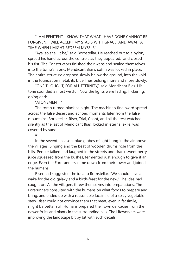"I AM PENITENT. I KNOW THAT WHAT I HAVE DONE CANNOT BE FORGIVEN. I WILL ACCEPT MY STASIS WITH GRACE, AND AWAIT A TIME WHEN I MIGHT REDEEM MYSELF."

"Aya, so shall it be," said Bornstellar. He reached out to a pylon, spread his hand across the controls as they appeared, and closed his fist. The Constructors finished their webs and sealed themselves into the tomb's fabric. Mendicant Bias's coffin was locked in place. The entire structure dropped slowly below the ground, into the void in the foundation metal, its blue lines pulsing more and more slowly.

"ONE THOUGHT, FOR ALL ETERNITY," said Mendicant Bias. His tone sounded almost wistful. Now the lights were fading, flickering, going dark.

"ATONEMENT..."

The tomb turned black as night. The machine's final word spread across the false desert and echoed moments later from the false mountains. Bornstellar, Riser, Trial, Chant, and all the rest watched silently as the last of Mendicant Bias, locked in eternal exile, was covered by sand.

#

In the seventh season, blue globes of light hung in the air above the villages. Singing and the beat of wooden drums rose from the hills. People talked and laughed in the streets and drank sweet berry juice squeezed from the bushes, fermented just enough to give it an edge. Even the Forerunners came down from their tower and joined the humans.

Riser had suggested the idea to Bornstellar. "We should have a wake for the old galaxy and a birth-feast for the new." The idea had caught on. All the villagers threw themselves into preparations. The Forerunners consulted with the humans on what foods to prepare and bring, and ended up with a reasonable facsimile of a spicy vegetable stew. Riser could not convince them that meat, even in facsimile, might be better still. Humans prepared their own delicacies from the newer fruits and plants in the surrounding hills. The Lifeworkers were improving the landscape bit by bit with such details.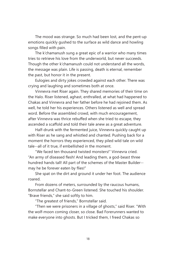The mood was strange. So much had been lost, and the pent-up emotions quickly gushed to the surface as wild dance and howling songs filled with pain.

The k'chamanush sung a great epic of a warrior who many times tries to retrieve his love from the underworld, but never succeeds. Though the other k'chamanush could not understand all the words, the message was plain. Life is passing, death is eternal, remember the past, but honor it in the present.

Eulogies and dirty jokes crowded against each other. There was crying and laughing and sometimes both at once.

Vinnevra met Riser again. They shared memories of their time on the Halo. Riser listened, aghast, enthralled, at what had happened to Chakas and Vinnevra and her father before he had rejoined them. As well, he told her his experiences. Others listened as well and spread word. Before the assembled crowd, with much encouragement, after Vinnevra was thrice rebuffed when she tried to escape, they ascended a scaffold and told their tale anew as a great adventure.

Half-drunk with the fermented juice, Vinnevra quickly caught up with Riser as he sang and whistled and chanted. Pushing back for a moment the horrors they experienced, they piled wild tale on wild tale--all of it true, if embellished in the moment.

"We faced ten thousand twisted monsters!" Vinnevra cried. "An army of diseased flesh! And leading them, a god-beast three hundred hands tall! All part of the schemes of the Master Builder- may he be forever eaten by flies!"

She spat on the dirt and ground it under her foot. The audience roared.

From dozens of meters, surrounded by the raucous humans, Bornstellar and Chant-to-Green listened. She touched his shoulder. "Brave friends," she said softly to him.

"The greatest of friends," Bornstellar said.

"Then we were prisoners in a village of ghosts," said Riser. "With the wolf-moon coming closer, so close. Bad Forerunners wanted to make everyone into ghosts. But I tricked them, I freed Chakas so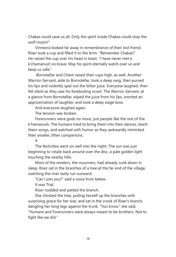Chakas could save us all. Only the spirit inside Chakas could stop the wolf-moon!"

Vinnevra looked far away in remembrance of their lost friend. Riser took a cup and filled it to the brim. "Remember Chakas!" He raised the cup over his head in toast. "I have never met a k'chamanush so brave. May his spirit eternally watch over us and keep us safe."

 Bornstellar and Chant raised their cups high, as well. Another Warrior-Servant, aide to Bornstellar, took a deep swig, then pursed his lips and violently spat out the bitter juice. Everyone laughed, then fell silent as they saw his foreboding scowl. The Warrior-Servant, at a glance from Bornstellar, wiped the juice from his lips, snorted an approximation of laughter, and took a deep stage bow.

And everyone laughed again.

The tension was broken.

Forerunners were gods no more, just people like the rest of the k'hamanush. The humans tried to bring them into their dances, teach them songs, and watched with humor as they awkwardly mimicked their smaller, lither companions.

#

The festivities went on well into the night. The sun was just beginning to rotate back around over the disc, a pale golden light touching the nearby hills.

Most of the revelers, the mourners, had already sunk down in sleep. Riser sat in the branches of a tree at the far end of the village, watching the river lazily run sunward.

"Can I join you?" said a voice from below.

It was Trial.

Riser nodded and patted the branch.

She climbed the tree, pulling herself up the branches with surprising grace for her size, and sat in the crook of Riser's branch, dangling her long legs against the trunk. "You know," she said, "Humans and Forerunners were always meant to be brothers. Not to fight like we did."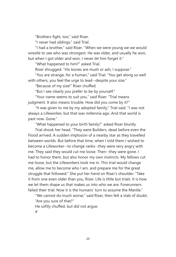"Brothers fight, too," said Riser.

"I never had siblings," said Trial.

"I had a brother," said Riser. "When we were young we we would wrestle to see who was strongest. He was older, and usually he won, but when I got older and won, I never let him forget it."

"What happened to him?" asked Trial.

Riser shrugged. "His bones are mush or ash, I suppose."

"You are strange, for a human," said Trial. "You get along so well with others, you feel the urge to lead--despite your size."

"Because of my size!" Riser chuffed.

"But I see clearly you prefer to be by yourself."

"Your name seems to suit you," said Riser. "Trial means judgment. It also means trouble. How did you come by it?"

"It was given to me by my adopted family," Trial said. "I was not always a Lifeworker, but that was millennia ago. And that world is past now. Gone."

"What happened to your birth family?" asked Riser bluntly.

Trial shook her head. "They were Builders, dead before even the Flood arrived. A sudden implosion of a nearby star as they travelled between worlds. But before that time, when I told them I wished to become a Lifeworker--to change ranks--they were very angry with me. They said they would cut me loose. Then--they were gone. I had to honor them, but also honor my own instincts. My fellows cut me loose, but the Lifeworkers took me in. This trial would change me, allow me to become who I am, and prepare me for the great struggle that followed." She put her hand on Riser's shoulder. "Take it from one even older than you, Riser. Life is little but trials. It is how we let them shape us that makes us into who we are. Forerunners failed their trial. Now it is the humans' turn to assume the Mantle."

"We cannot do much worse," said Riser, then felt a stab of doubt. "Are you sure of that?"

He softly chuffed, but did not argue.

#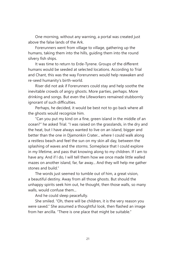One morning, without any warning, a portal was created just above the false lands of the Ark.

Forerunners went from village to village, gathering up the humans, taking them into the hills, guiding them into the round silvery fish ships.

It was time to return to Erde-Tyrene. Groups of the different humans would be seeded at selected locations. According to Trial and Chant, this was the way Forerunners would help reawaken and re-seed humanity's birth-world.

Riser did not ask if Forerunners could stay and help soothe the inevitable crowds of angry ghosts. More parties, perhaps. More drinking and songs. But even the Lifeworkers remained stubbornly ignorant of such difficulties.

Perhaps, he decided, it would be best not to go back where all the ghosts would recognize him.

"Can you put my kind on a fine, green island in the middle of an ocean?" he asked Trial. "I was raised on the grasslands, in the dry and the heat, but I have always wanted to live on an island, bigger and better than the one in Djamonkin Crater... where I could walk along a restless beach and feel the sun on my skin all day, between the splashing of waves and the storms. Someplace that I could explore in my lifetime, and pass that knowing along to my children. If I am to have any. And if I do, I will tell them how we once made little walled mazes on another island, far, far away... And they will help me gather stones and build."

The words just seemed to tumble out of him, a great vision, a beautiful destiny. Away from all those ghosts. But should the unhappy spirits seek him out, he thought, then those walls, so many walls, would confuse them...

And he could sleep peacefully.

She smiled. "Oh, there will be children, it is the very reason you were saved." She assumed a thoughtful look, then flashed an image from her ancilla. "There is one place that might be suitable."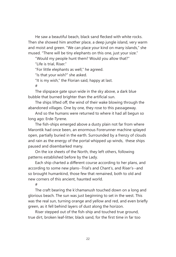He saw a beautiful beach, black sand flecked with white rocks. Then she showed him another place, a deep jungle island, very warm and moist and green. "We can place your kind on many islands," she mused. "There will be tiny elephants on this one, just your size."

"Would my people hunt them? Would you allow that?"

"Life is trial, Riser."

"For little elephants as well," he agreed.

"Is that your wish?" she asked.

"It is my wish," the Florian said, happy at last.

#

The slipspace gate spun wide in the sky above, a dark blue bubble that burned brighter than the artificial sun.

The ships lifted off, the wind of their wake blowing through the abandoned villages. One by one, they rose to this passageway.

And so the humans were returned to where it had all begun so long ago: Erde-Tyrene.

The fish-ships emerged above a dusty plain not far from where Marontik had once been, an enormous Forerunner machine splayed open, partially buried in the earth. Surrounded by a frenzy of clouds and rain as the energy of the portal whipped up winds, these ships paused and disembarked many.

On the ice sheets of the North, they left others, following patterns established before by the Lady.

Each ship charted a different course according to her plans, and according to some new plans--Trial's and Chant's, and Riser's--and so brought humankind, those few that remained, both to old and new corners of this ancient, haunted world.

#

The craft bearing the k'chamanush touched down on a long and glorious beach. The sun was just beginning to set in the west. This was the real sun, turning orange and yellow and red, and even briefly green, as it fell behind layers of dust along the horizon.

Riser stepped out of the fish-ship and touched true ground, true dirt, broken leaf-litter, black sand, for the first time in far too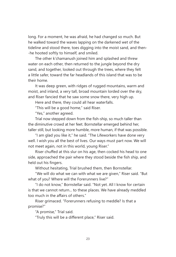long. For a moment, he was afraid, he had changed so much. But he walked toward the waves lapping on the darkened wet of the tideline and stood there, toes digging into the moist sand, and then- -he hooted softly to himself, and smiled.

The other k'chamanush joined him and splashed and threw water on each other, then returned to the jungle beyond the dry sand, and together, looked out through the trees, where they felt a little safer, toward the far headlands of this island that was to be their home.

It was deep green, with ridges of rugged mountains, warm and moist, and inland, a very tall, broad mountain lorded over the sky, and Riser fancied that he saw some snow there, very high up.

Here and there, they could all hear waterfalls.

"This will be a good home," said Riser.

"Yes," another agreed.

Trial now stepped down from the fish-ship, so much taller than the diminutive crowd at her feet. Bornstellar emerged behind her, taller still, but looking more humble, more human, if that was possible.

"I am glad you like it," he said. "The Lifeworkers have done very well. I wish you all the best of lives. Our ways must part now. We will not meet again, not in this world, young Riser."

Riser chuffed at this slur on his age, then cocked his head to one side, approached the pair where they stood beside the fish ship, and held out his fingers.

Without hesitating, Trial brushed them, then Bornstellar.

"We will do what we can with what we are given," Riser said. "But what of you? Where will the Forerunners live?"

"I do not know," Bornstellar said. "Not yet. All I know for certain is that we cannot return... to these places. We have already meddled too much in the affairs of others."

Riser grimaced. "Forerunners refusing to meddle? Is that a promise?"

"A promise," Trial said.

"Truly this will be a different place," Riser said.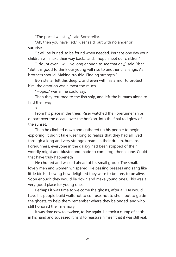"The portal will stay," said Bornstellar.

"Ah, then you have lied," Riser said, but with no anger or surprise.

"It will be buried, to be found when needed. Perhaps one day your children will make their way back... and, I hope, meet our children."

"I doubt even I will live long enough to see that day," said Riser. "But it is good to think our young will rise to another challenge. As brothers should. Making trouble. Finding strength."

Bornstellar felt this deeply, and even with his armor to protect him, the emotion was almost too much.

"Hope..." was all he could say.

Then they returned to the fish ship, and left the humans alone to find their way.

#

From his place in the trees, Riser watched the Forerunner ships depart over the ocean, over the horizon, into the final red glow of the sunset.

Then he climbed down and gathered up his people to begin exploring. It didn't take Riser long to realize that they had all lived through a long and very strange dream. In their dream, humans, Forerunners, everyone in the galaxy had been stripped of their worldly might and bluster and made to come together as one. Could that have truly happened?

He chuffed and walked ahead of his small group. The small, lovely men and women whispered like passing breezes and sang like little birds, showing how delighted they were to be free, to be alive. Soon enough they would lie down and make young ones. This was a very good place for young ones.

Perhaps it was time to welcome the ghosts, after all. He would have his people build walls not to confuse, not to shun, but to guide the ghosts, to help them remember where they belonged, and who still honored their memory.

It was time now to awaken, to live again. He took a clump of earth in his hand and squeezed it hard to reassure himself that it was still real.